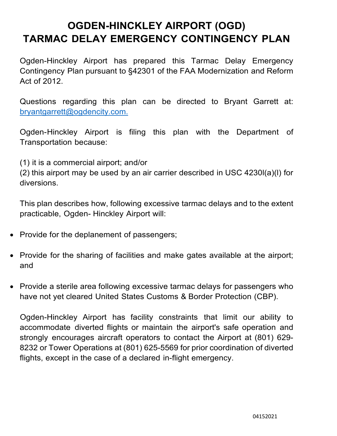# **OGDEN-HINCKLEY AIRPORT (OGD) TARMAC DELAY EMERGENCY CONTINGENCY PLAN**

Ogden-Hinckley Airport has prepared this Tarmac Delay Emergency Contingency Plan pursuant to §42301 of the FAA Modernization and Reform Act of 2012.

Questions regarding this plan can be directed to Bryant Garrett at: [bryantgarrett@ogdencity.com.](mailto:bryantgarrett@ogdencity.com.)

Ogden-Hinckley Airport is filing this plan with the Department of Transportation because:

(1) it is a commercial airport; and/or

(2) this airport may be used by an air carrier described in USC 4230l(a)(l) for diversions.

This plan describes how, following excessive tarmac delays and to the extent practicable, Ogden- Hinckley Airport will:

- Provide for the deplanement of passengers;
- Provide for the sharing of facilities and make gates available at the airport; and
- Provide a sterile area following excessive tarmac delays for passengers who have not yet cleared United States Customs & Border Protection (CBP).

Ogden-Hinckley Airport has facility constraints that limit our ability to accommodate diverted flights or maintain the airport's safe operation and strongly encourages aircraft operators to contact the Airport at (801) 629- 8232 or Tower Operations at (801) 625-5569 for prior coordination of diverted flights, except in the case of a declared in-flight emergency.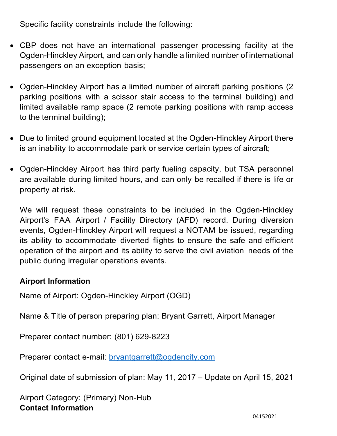Specific facility constraints include the following:

- CBP does not have an international passenger processing facility at the Ogden-Hinckley Airport, and can only handle a limited number of international passengers on an exception basis;
- Ogden-Hinckley Airport has a limited number of aircraft parking positions (2 parking positions with a scissor stair access to the terminal building) and limited available ramp space (2 remote parking positions with ramp access to the terminal building);
- Due to limited ground equipment located at the Ogden-Hinckley Airport there is an inability to accommodate park or service certain types of aircraft;
- Ogden-Hinckley Airport has third party fueling capacity, but TSA personnel are available during limited hours, and can only be recalled if there is life or property at risk.

We will request these constraints to be included in the Ogden-Hinckley Airport's FAA Airport / Facility Directory (AFD) record. During diversion events, Ogden-Hinckley Airport will request a NOTAM be issued, regarding its ability to accommodate diverted flights to ensure the safe and efficient operation of the airport and its ability to serve the civil aviation needs of the public during irregular operations events.

#### **Airport Information**

Name of Airport: Ogden-Hinckley Airport (OGD)

Name & Title of person preparing plan: Bryant Garrett, Airport Manager

Preparer contact number: (801) 629-8223

Preparer contact e-mail: [bryantgarrett@ogdencity.com](mailto:bryantgarrett@ogdencity.com)

Original date of submission of plan: May 11, 2017 – Update on April 15, 2021

Airport Category: (Primary) Non-Hub **Contact Information**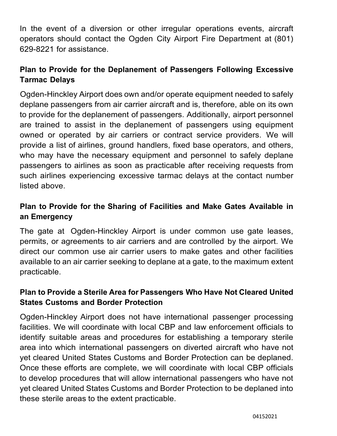In the event of a diversion or other irregular operations events, aircraft operators should contact the Ogden City Airport Fire Department at (801) 629-8221 for assistance.

# **Plan to Provide for the Deplanement of Passengers Following Excessive Tarmac Delays**

Ogden-Hinckley Airport does own and/or operate equipment needed to safely deplane passengers from air carrier aircraft and is, therefore, able on its own to provide for the deplanement of passengers. Additionally, airport personnel are trained to assist in the deplanement of passengers using equipment owned or operated by air carriers or contract service providers. We will provide a list of airlines, ground handlers, fixed base operators, and others, who may have the necessary equipment and personnel to safely deplane passengers to airlines as soon as practicable after receiving requests from such airlines experiencing excessive tarmac delays at the contact number listed above.

# **Plan to Provide for the Sharing of Facilities and Make Gates Available in an Emergency**

The gate at Ogden-Hinckley Airport is under common use gate leases, permits, or agreements to air carriers and are controlled by the airport. We direct our common use air carrier users to make gates and other facilities available to an air carrier seeking to deplane at a gate, to the maximum extent practicable.

# **Plan to Provide a Sterile Area for Passengers Who Have Not Cleared United States Customs and Border Protection**

Ogden-Hinckley Airport does not have international passenger processing facilities. We will coordinate with local CBP and law enforcement officials to identify suitable areas and procedures for establishing a temporary sterile area into which international passengers on diverted aircraft who have not yet cleared United States Customs and Border Protection can be deplaned. Once these efforts are complete, we will coordinate with local CBP officials to develop procedures that will allow international passengers who have not yet cleared United States Customs and Border Protection to be deplaned into these sterile areas to the extent practicable.